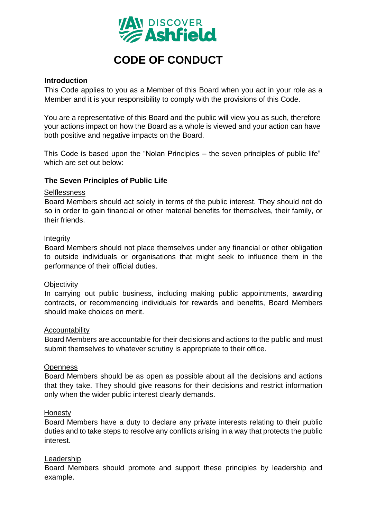

# **CODE OF CONDUCT**

### **Introduction**

This Code applies to you as a Member of this Board when you act in your role as a Member and it is your responsibility to comply with the provisions of this Code.

You are a representative of this Board and the public will view you as such, therefore your actions impact on how the Board as a whole is viewed and your action can have both positive and negative impacts on the Board.

This Code is based upon the "Nolan Principles – the seven principles of public life" which are set out below:

#### **The Seven Principles of Public Life**

#### **Selflessness**

Board Members should act solely in terms of the public interest. They should not do so in order to gain financial or other material benefits for themselves, their family, or their friends.

#### **Integrity**

Board Members should not place themselves under any financial or other obligation to outside individuals or organisations that might seek to influence them in the performance of their official duties.

#### **Objectivity**

In carrying out public business, including making public appointments, awarding contracts, or recommending individuals for rewards and benefits, Board Members should make choices on merit.

#### Accountability

Board Members are accountable for their decisions and actions to the public and must submit themselves to whatever scrutiny is appropriate to their office.

#### **Openness**

Board Members should be as open as possible about all the decisions and actions that they take. They should give reasons for their decisions and restrict information only when the wider public interest clearly demands.

#### Honesty

Board Members have a duty to declare any private interests relating to their public duties and to take steps to resolve any conflicts arising in a way that protects the public interest.

#### Leadership

Board Members should promote and support these principles by leadership and example.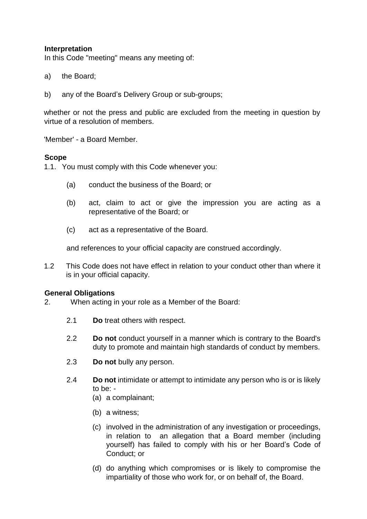# **Interpretation**

In this Code "meeting" means any meeting of:

- a) the Board;
- b) any of the Board's Delivery Group or sub-groups;

whether or not the press and public are excluded from the meeting in question by virtue of a resolution of members.

'Member' - a Board Member.

#### **Scope**

1.1. You must comply with this Code whenever you:

- (a) conduct the business of the Board; or
- (b) act, claim to act or give the impression you are acting as a representative of the Board; or
- (c) act as a representative of the Board.

and references to your official capacity are construed accordingly.

1.2 This Code does not have effect in relation to your conduct other than where it is in your official capacity.

#### **General Obligations**

- 2. When acting in your role as a Member of the Board:
	- 2.1 **Do** treat others with respect.
	- 2.2 **Do not** conduct yourself in a manner which is contrary to the Board's duty to promote and maintain high standards of conduct by members.
	- 2.3 **Do not** bully any person.
	- 2.4 **Do not** intimidate or attempt to intimidate any person who is or is likely to be: -
		- (a) a complainant;
		- (b) a witness;
		- (c) involved in the administration of any investigation or proceedings, in relation to an allegation that a Board member (including yourself) has failed to comply with his or her Board's Code of Conduct; or
		- (d) do anything which compromises or is likely to compromise the impartiality of those who work for, or on behalf of, the Board.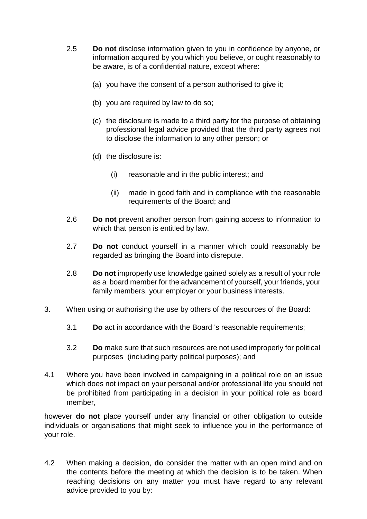- 2.5 **Do not** disclose information given to you in confidence by anyone, or information acquired by you which you believe, or ought reasonably to be aware, is of a confidential nature, except where:
	- (a) you have the consent of a person authorised to give it:
	- (b) you are required by law to do so;
	- (c) the disclosure is made to a third party for the purpose of obtaining professional legal advice provided that the third party agrees not to disclose the information to any other person; or
	- (d) the disclosure is:
		- (i) reasonable and in the public interest; and
		- (ii) made in good faith and in compliance with the reasonable requirements of the Board; and
- 2.6 **Do not** prevent another person from gaining access to information to which that person is entitled by law.
- 2.7 **Do not** conduct yourself in a manner which could reasonably be regarded as bringing the Board into disrepute.
- 2.8 **Do not** improperly use knowledge gained solely as a result of your role as a board member for the advancement of yourself, your friends, your family members, your employer or your business interests.
- 3. When using or authorising the use by others of the resources of the Board:
	- 3.1 **Do** act in accordance with the Board 's reasonable requirements;
	- 3.2 **Do** make sure that such resources are not used improperly for political purposes (including party political purposes); and
- 4.1 Where you have been involved in campaigning in a political role on an issue which does not impact on your personal and/or professional life you should not be prohibited from participating in a decision in your political role as board member,

however **do not** place yourself under any financial or other obligation to outside individuals or organisations that might seek to influence you in the performance of your role.

4.2 When making a decision, **do** consider the matter with an open mind and on the contents before the meeting at which the decision is to be taken. When reaching decisions on any matter you must have regard to any relevant advice provided to you by: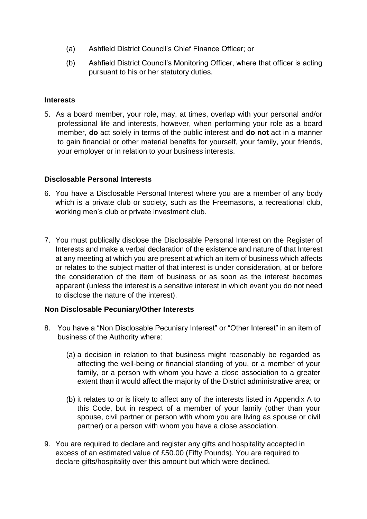- (a) Ashfield District Council's Chief Finance Officer; or
- (b) Ashfield District Council's Monitoring Officer, where that officer is acting pursuant to his or her statutory duties.

# **Interests**

5. As a board member, your role, may, at times, overlap with your personal and/or professional life and interests, however, when performing your role as a board member, **do** act solely in terms of the public interest and **do not** act in a manner to gain financial or other material benefits for yourself, your family, your friends, your employer or in relation to your business interests.

# **Disclosable Personal Interests**

- 6. You have a Disclosable Personal Interest where you are a member of any body which is a private club or society, such as the Freemasons, a recreational club, working men's club or private investment club.
- 7. You must publically disclose the Disclosable Personal Interest on the Register of Interests and make a verbal declaration of the existence and nature of that Interest at any meeting at which you are present at which an item of business which affects or relates to the subject matter of that interest is under consideration, at or before the consideration of the item of business or as soon as the interest becomes apparent (unless the interest is a sensitive interest in which event you do not need to disclose the nature of the interest).

# **Non Disclosable Pecuniary/Other Interests**

- 8. You have a "Non Disclosable Pecuniary Interest" or "Other Interest" in an item of business of the Authority where:
	- (a) a decision in relation to that business might reasonably be regarded as affecting the well-being or financial standing of you, or a member of your family, or a person with whom you have a close association to a greater extent than it would affect the majority of the District administrative area; or
	- (b) it relates to or is likely to affect any of the interests listed in Appendix A to this Code, but in respect of a member of your family (other than your spouse, civil partner or person with whom you are living as spouse or civil partner) or a person with whom you have a close association.
- 9. You are required to declare and register any gifts and hospitality accepted in excess of an estimated value of £50.00 (Fifty Pounds). You are required to declare gifts/hospitality over this amount but which were declined.